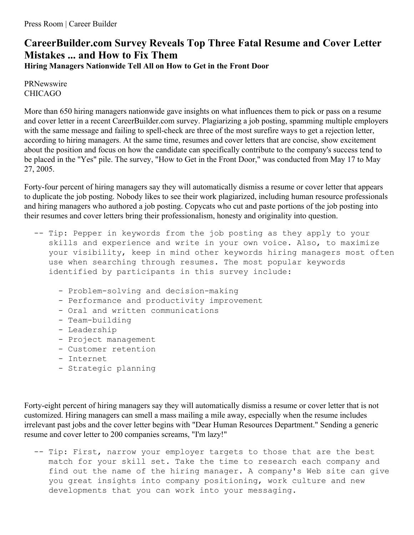## **CareerBuilder.com Survey Reveals Top Three Fatal Resume and Cover Letter Mistakes ... and How to Fix Them**

**Hiring Managers Nationwide Tell All on How to Get in the Front Door**

PRNewswire CHICAGO

More than 650 hiring managers nationwide gave insights on what influences them to pick or pass on a resume and cover letter in a recent CareerBuilder.com survey. Plagiarizing a job posting, spamming multiple employers with the same message and failing to spell-check are three of the most surefire ways to get a rejection letter, according to hiring managers. At the same time, resumes and cover letters that are concise, show excitement about the position and focus on how the candidate can specifically contribute to the company's success tend to be placed in the "Yes" pile. The survey, "How to Get in the Front Door," was conducted from May 17 to May 27, 2005.

Forty-four percent of hiring managers say they will automatically dismiss a resume or cover letter that appears to duplicate the job posting. Nobody likes to see their work plagiarized, including human resource professionals and hiring managers who authored a job posting. Copycats who cut and paste portions of the job posting into their resumes and cover letters bring their professionalism, honesty and originality into question.

- -- Tip: Pepper in keywords from the job posting as they apply to your skills and experience and write in your own voice. Also, to maximize your visibility, keep in mind other keywords hiring managers most often use when searching through resumes. The most popular keywords identified by participants in this survey include:
	- Problem-solving and decision-making
	- Performance and productivity improvement
	- Oral and written communications
	- Team-building
	- Leadership
	- Project management
	- Customer retention
	- Internet
	- Strategic planning

Forty-eight percent of hiring managers say they will automatically dismiss a resume or cover letter that is not customized. Hiring managers can smell a mass mailing a mile away, especially when the resume includes irrelevant past jobs and the cover letter begins with "Dear Human Resources Department." Sending a generic resume and cover letter to 200 companies screams, "I'm lazy!"

-- Tip: First, narrow your employer targets to those that are the best match for your skill set. Take the time to research each company and find out the name of the hiring manager. A company's Web site can give you great insights into company positioning, work culture and new developments that you can work into your messaging.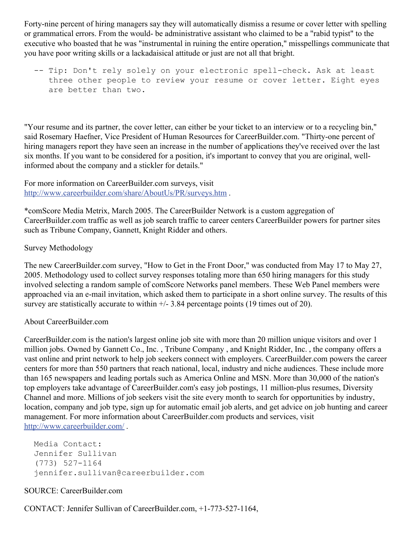Forty-nine percent of hiring managers say they will automatically dismiss a resume or cover letter with spelling or grammatical errors. From the would- be administrative assistant who claimed to be a "rabid typist" to the executive who boasted that he was "instrumental in ruining the entire operation," misspellings communicate that you have poor writing skills or a lackadaisical attitude or just are not all that bright.

-- Tip: Don't rely solely on your electronic spell-check. Ask at least three other people to review your resume or cover letter. Eight eyes are better than two.

"Your resume and its partner, the cover letter, can either be your ticket to an interview or to a recycling bin," said Rosemary Haefner, Vice President of Human Resources for CareerBuilder.com. "Thirty-one percent of hiring managers report they have seen an increase in the number of applications they've received over the last six months. If you want to be considered for a position, it's important to convey that you are original, wellinformed about the company and a stickler for details."

For more information on CareerBuilder.com surveys, visit <http://www.careerbuilder.com/share/AboutUs/PR/surveys.htm> .

\*comScore Media Metrix, March 2005. The CareerBuilder Network is a custom aggregation of CareerBuilder.com traffic as well as job search traffic to career centers CareerBuilder powers for partner sites such as Tribune Company, Gannett, Knight Ridder and others.

## Survey Methodology

The new CareerBuilder.com survey, "How to Get in the Front Door," was conducted from May 17 to May 27, 2005. Methodology used to collect survey responses totaling more than 650 hiring managers for this study involved selecting a random sample of comScore Networks panel members. These Web Panel members were approached via an e-mail invitation, which asked them to participate in a short online survey. The results of this survey are statistically accurate to within  $+/- 3.84$  percentage points (19 times out of 20).

## About CareerBuilder.com

CareerBuilder.com is the nation's largest online job site with more than 20 million unique visitors and over 1 million jobs. Owned by Gannett Co., Inc. , Tribune Company , and Knight Ridder, Inc. , the company offers a vast online and print network to help job seekers connect with employers. CareerBuilder.com powers the career centers for more than 550 partners that reach national, local, industry and niche audiences. These include more than 165 newspapers and leading portals such as America Online and MSN. More than 30,000 of the nation's top employers take advantage of CareerBuilder.com's easy job postings, 11 million-plus resumes, Diversity Channel and more. Millions of job seekers visit the site every month to search for opportunities by industry, location, company and job type, sign up for automatic email job alerts, and get advice on job hunting and career management. For more information about CareerBuilder.com products and services, visit <http://www.careerbuilder.com/> .

```
Media Contact:
Jennifer Sullivan
(773) 527-1164
jennifer.sullivan@careerbuilder.com
```
## SOURCE: CareerBuilder.com

CONTACT: Jennifer Sullivan of CareerBuilder.com, +1-773-527-1164,